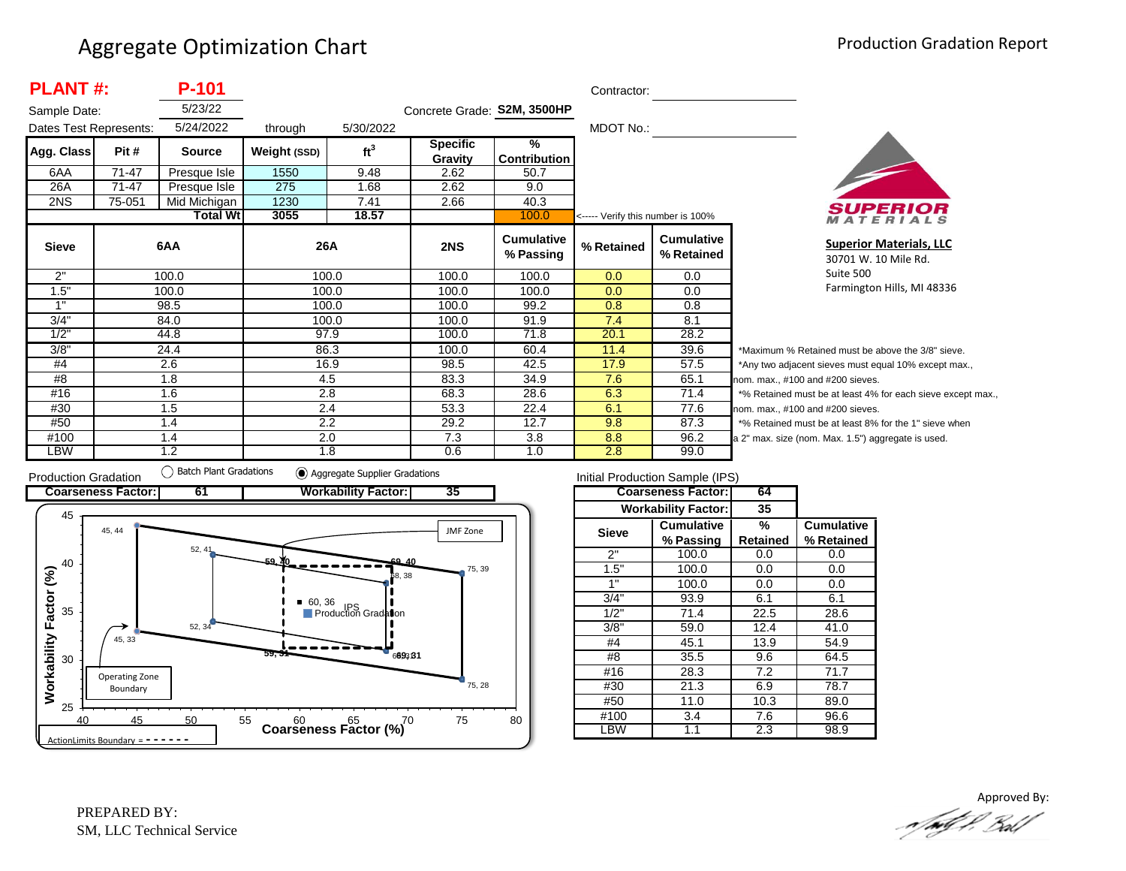| <b>PLANT#:</b>         |        | P-101           |              | Contractor:     |                             |                                |                                   |                                 |                  |
|------------------------|--------|-----------------|--------------|-----------------|-----------------------------|--------------------------------|-----------------------------------|---------------------------------|------------------|
| Sample Date:           |        | 5/23/22         |              |                 | Concrete Grade: S2M, 3500HP |                                |                                   |                                 |                  |
| Dates Test Represents: |        | 5/24/2022       | through      | 5/30/2022       |                             |                                | MDOT No.:                         |                                 |                  |
| Agg. Class             | Pit #  | <b>Source</b>   | Weight (SSD) | ft <sup>3</sup> | <b>Specific</b><br>Gravity  | $\frac{9}{6}$<br>Contribution  |                                   |                                 |                  |
| 6AA                    | 71-47  | Presque Isle    | 1550         | 9.48            | 2.62                        | 50.7                           |                                   |                                 |                  |
| 26A                    | 71-47  | Presque Isle    | 275          | 1.68            | 2.62                        | 9.0                            |                                   |                                 |                  |
| 2NS                    | 75-051 | Mid Michigan    | 1230         | 7.41            | 2.66                        | 40.3                           |                                   |                                 |                  |
|                        |        | <b>Total Wt</b> | 3055         | 18.57           |                             | 100.0                          | <----- Verify this number is 100% |                                 |                  |
| <b>Sieve</b>           |        | 6AA             |              | 26A             | 2NS                         | <b>Cumulative</b><br>% Passing | % Retained                        | <b>Cumulative</b><br>% Retained |                  |
| 2"                     |        | 100.0           |              | 100.0           | 100.0                       | 100.0                          | 0.0                               | 0.0                             |                  |
| 1.5"                   |        | 100.0           |              | 100.0           | 100.0                       | 100.0                          | 0.0                               | 0.0                             |                  |
| 1"                     |        | 98.5            |              | 100.0           | 100.0                       | 99.2                           | 0.8                               | 0.8                             |                  |
| 3/4"                   |        | 84.0            |              | 100.0           | 100.0                       | 91.9                           | 7.4                               | 8.1                             |                  |
| 1/2"                   |        | 44.8            |              | 97.9            | 100.0                       | 71.8                           | 20.1                              | 28.2                            |                  |
| 3/8"                   |        | 24.4            |              | 86.3            | 100.0                       | 60.4                           | 11.4                              | 39.6                            | *۱               |
| #4                     |        | 2.6             |              | 16.9            | 98.5                        | 42.5                           | 17.9                              | 57.5                            | */               |
| #8                     |        | 1.8             |              | 4.5             | 83.3                        | 34.9                           | 7.6                               | 65.1                            | nor              |
| #16                    |        | 1.6             |              | 2.8             | 68.3                        | 28.6                           | 6.3                               | 71.4                            | $*$ <sup>o</sup> |
| #30                    |        | 1.5             |              | 2.4             | 53.3                        | 22.4                           | 6.1                               | 77.6                            | nor              |
| #50                    |        | 1.4             |              | 2.2             | 29.2                        | 12.7                           | 9.8                               | 87.3                            | $*$ <sup>o</sup> |
| #100                   |        | 1.4             |              | 2.0             | 7.3                         | 3.8                            | 8.8                               | 96.2                            | a <sub>2</sub>   |
| LBW                    |        | 1.2             |              | 1.8             | 0.6                         | 1.0                            | 2.8                               | 99.0                            |                  |



**Superior Materials, LLC** 30701 W. 10 Mile Rd. Suite 500 Farmington Hills, MI 48336

Maximum % Retained must be above the 3/8" sieve. Any two adjacent sieves must equal 10% except max., m. max., #100 and #200 sieves. % Retained must be at least 4% for each sieve except max., m. max., #100 and #200 sieves. % Retained must be at least 8% for the 1" sieve when <sup>2"</sup> max. size (nom. Max. 1.5") aggregate is used.



| Initial Production Sample (IPS) |                            |          |                   |  |  |  |  |  |
|---------------------------------|----------------------------|----------|-------------------|--|--|--|--|--|
|                                 | <b>Coarseness Factor:</b>  | 64       |                   |  |  |  |  |  |
|                                 | <b>Workability Factor:</b> | 35       |                   |  |  |  |  |  |
| <b>Sieve</b>                    | <b>Cumulative</b>          | %        | <b>Cumulative</b> |  |  |  |  |  |
|                                 | % Passing                  | Retained | % Retained        |  |  |  |  |  |
| 2"                              | 100.0                      | 0.0      | 0.0               |  |  |  |  |  |
| 1.5"                            | 100.0                      | 0.0      | 0.0               |  |  |  |  |  |
| 1"                              | 100.0                      | 0.0      | 0.0               |  |  |  |  |  |
| 3/4"                            | 93.9                       | 6.1      | 6.1               |  |  |  |  |  |
| 1/2"                            | 71.4                       | 22.5     | 28.6              |  |  |  |  |  |
| 3/8"                            | 59.0                       | 12.4     | 41.0              |  |  |  |  |  |
| #4                              | 45.1                       | 13.9     | 54.9              |  |  |  |  |  |
| #8                              | 35.5                       | 9.6      | 64.5              |  |  |  |  |  |
| #16                             | 28.3                       | 7.2      | 71.7              |  |  |  |  |  |
| #30                             | 21.3                       | 6.9      | 78.7              |  |  |  |  |  |
| #50                             | 11.0                       | 10.3     | 89.0              |  |  |  |  |  |
| #100                            | 3.4                        |          | 96.6              |  |  |  |  |  |
| .BW                             | 1.1                        | 2.3      | 98.9              |  |  |  |  |  |

Approved By:a fødf f. Bolf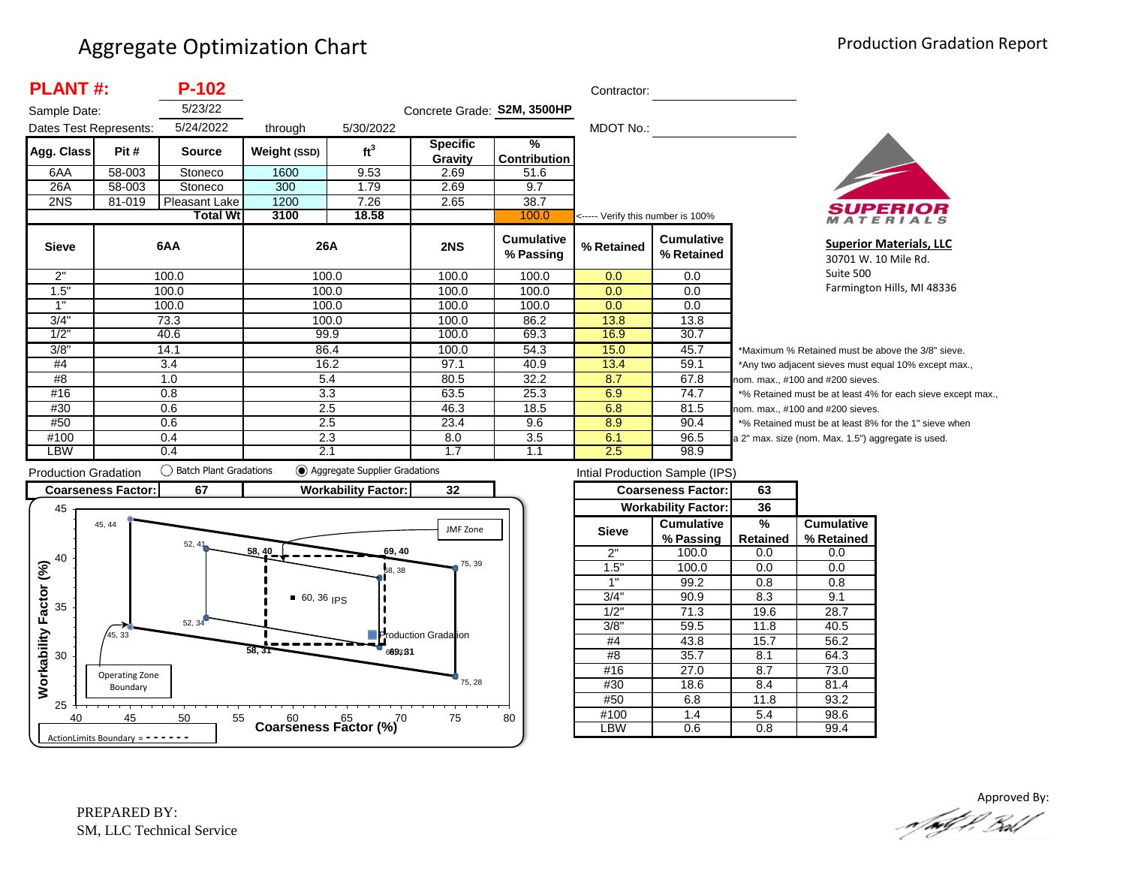| <b>PLANT#:</b>         |        | P-102           |              |                  |                             | Contractor:                    |                                   |                                 |                          |  |
|------------------------|--------|-----------------|--------------|------------------|-----------------------------|--------------------------------|-----------------------------------|---------------------------------|--------------------------|--|
| Sample Date:           |        | 5/23/22         |              |                  | Concrete Grade: S2M, 3500HP |                                |                                   |                                 |                          |  |
| Dates Test Represents: |        | 5/24/2022       | through      | 5/30/2022        |                             |                                | MDOT No.:                         |                                 |                          |  |
| Agg. Class             | Pit #  | <b>Source</b>   | Weight (SSD) | ft <sup>3</sup>  | <b>Specific</b>             | %                              |                                   |                                 |                          |  |
|                        |        |                 |              |                  | Gravity                     | <b>Contribution</b>            |                                   |                                 |                          |  |
| 6AA                    | 58-003 | Stoneco         | 1600         | 9.53             | 2.69                        | 51.6                           |                                   |                                 |                          |  |
| 26A                    | 58-003 | Stoneco         | 300          | 1.79             | 2.69                        | 9.7                            |                                   |                                 |                          |  |
| 2NS                    | 81-019 | Pleasant Lake   | 1200         | 7.26             | 2.65                        | 38.7                           |                                   |                                 |                          |  |
|                        |        | <b>Total Wt</b> | 3100         | 18.58            |                             | 100.0                          | <----- Verify this number is 100% |                                 |                          |  |
| <b>Sieve</b>           |        | 6AA             | 26A          |                  | 2NS                         | <b>Cumulative</b><br>% Passing | % Retained                        | <b>Cumulative</b><br>% Retained |                          |  |
| 2"                     |        | 100.0           |              | 100.0            | 100.0                       | 100.0                          | 0.0 <sub>1</sub>                  | 0.0                             |                          |  |
| 1.5"                   |        | 100.0           | 100.0        |                  |                             | 100.0                          | 100.0                             | 0.0                             | 0.0                      |  |
| 1"                     |        | 100.0           |              | 100.0            | 100.0                       | 100.0                          | 0.0                               | 0.0                             |                          |  |
| 3/4"                   |        | 73.3            |              | 100.0            | 100.0                       | 86.2                           | 13.8                              | 13.8                            |                          |  |
| 1/2"                   |        | 40.6            |              | 99.9             | 100.0                       | 69.3                           | 16.9                              | 30.7                            |                          |  |
| 3/8"                   |        | 14.1            |              | 86.4             | 100.0                       | 54.3                           | 15.0                              | 45.7                            | $\overline{\phantom{a}}$ |  |
| #4                     |        | 3.4             |              | 16.2             | 97.1                        | 40.9                           | 13.4                              | 59.1                            | $\overline{z}$           |  |
| #8                     |        | 5.4<br>1.0      |              |                  | 80.5                        | 32.2                           | 8.7                               | 67.8                            | no                       |  |
| #16                    |        | 0.8             |              | 3.3              | 63.5                        | 25.3                           | 6.9                               | 74.7                            | $\star$                  |  |
| #30                    |        | 0.6             |              | 2.5              | 46.3                        | 18.5                           | 6.8                               | 81.5                            | no                       |  |
| #50                    |        | 0.6             |              | $\overline{2.5}$ | 23.4                        | 9.6                            | 8.9                               | 90.4                            | $\star$                  |  |
| #100                   |        | 0.4             |              | 2.3              | 8.0                         | 3.5                            | 6.1                               | 96.5                            | a 2                      |  |
| LBW                    |        | 0.4             | 2.1          |                  | 1.7                         | 1.1                            | 2.5                               | 98.9                            |                          |  |



**Superior Materials, LLC** 30701 W. 10 Mile Rd. Suite 500 Farmington Hills, MI 48336

Maximum % Retained must be above the 3/8" sieve. Any two adjacent sieves must equal 10% except max.,  $km.$  max.,  $#100$  and  $#200$  sieves. % Retained must be at least 4% for each sieve except max.,  $km.$  max.,  $#100$  and  $#200$  sieves. % Retained must be at least 8% for the 1" sieve when 2" max. size (nom. Max. 1.5") aggregate is used.



| Intial Production Sample (IPS) |                            |          |                   |  |  |  |  |  |
|--------------------------------|----------------------------|----------|-------------------|--|--|--|--|--|
|                                | <b>Coarseness Factor:</b>  | 63       |                   |  |  |  |  |  |
|                                | <b>Workability Factor:</b> | 36       |                   |  |  |  |  |  |
| <b>Sieve</b>                   | <b>Cumulative</b>          | %        | <b>Cumulative</b> |  |  |  |  |  |
|                                | % Passing                  | Retained | % Retained        |  |  |  |  |  |
| 2"                             | 100.0                      | 0.0      | 0.0               |  |  |  |  |  |
| 1.5"                           | 100.0                      | 0.0      | 0.0               |  |  |  |  |  |
| 1"                             | 99.2                       | 0.8      | 0.8               |  |  |  |  |  |
| 3/4"                           | 90.9                       | 8.3      | 9.1               |  |  |  |  |  |
| 1/2"                           | 71.3                       | 19.6     | 28.7              |  |  |  |  |  |
| 3/8"                           | 59.5                       | 11.8     | 40.5              |  |  |  |  |  |
| #4                             | 43.8                       | 15.7     | 56.2              |  |  |  |  |  |
| #8                             | 35.7                       | 8.1      | 64.3              |  |  |  |  |  |
| #16                            | 27.0                       | 8.7      | 73.0              |  |  |  |  |  |
| #30                            | 18.6                       | 8.4      | 81.4              |  |  |  |  |  |
| #50                            | 6.8                        | 11.8     | 93.2              |  |  |  |  |  |
| #100                           | 1.4                        | 5.4      | 98.6              |  |  |  |  |  |
| BW                             | 0.6                        | 0.8      | 99.4              |  |  |  |  |  |

Approved By:<br>Approved By: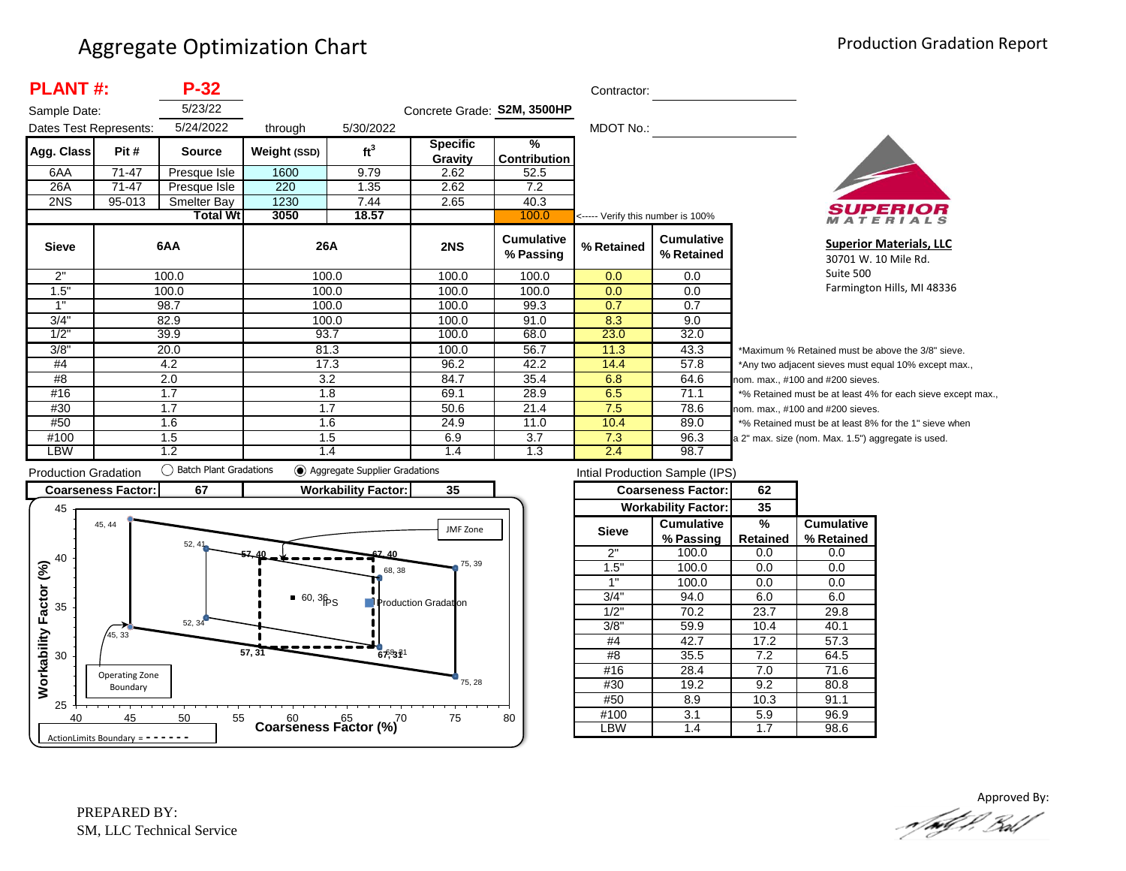| <b>PLANT#:</b><br>$P-32$<br>Contractor: |           |                          |              |                 |                             |                                      |            |                                 |          |
|-----------------------------------------|-----------|--------------------------|--------------|-----------------|-----------------------------|--------------------------------------|------------|---------------------------------|----------|
| Sample Date:                            |           | 5/23/22                  |              |                 | Concrete Grade: S2M, 3500HP |                                      |            |                                 |          |
| Dates Test Represents:                  |           | 5/24/2022                | through      | 5/30/2022       |                             |                                      | MDOT No.:  |                                 |          |
| Agg. Class                              | Pit#      | <b>Source</b>            | Weight (SSD) | ft <sup>3</sup> | <b>Specific</b><br>Gravity  | $\frac{9}{6}$<br><b>Contribution</b> |            |                                 |          |
| 6AA                                     | $71 - 47$ | Presque Isle             | 1600         | 9.79            | 2.62                        | 52.5                                 |            |                                 |          |
| 26A                                     | 71-47     | Presque Isle             | 220          | 1.35            | 2.62                        | 7.2                                  |            |                                 |          |
| 2NS                                     | 95-013    | Smelter Bay              | 1230         | 7.44            | 2.65                        | 40.3                                 |            |                                 |          |
|                                         |           | <b>Total Wtl</b><br>3050 | 18.57        |                 | 100.0                       | <----- Verify this number is 100%    |            |                                 |          |
| <b>Sieve</b>                            |           | 6AA                      | 26A          |                 | 2NS                         | <b>Cumulative</b><br>% Passing       | % Retained | <b>Cumulative</b><br>% Retained |          |
| 2"                                      |           | 100.0                    | 100.0        |                 | 100.0                       | 100.0                                | 0.0        | 0.0                             |          |
| 1.5"                                    |           | 100.0                    | 100.0        |                 | 100.0                       | 100.0                                | 0.0        | 0.0                             |          |
| 1"                                      |           | 98.7                     | 100.0        |                 | 100.0                       | 99.3                                 | 0.7        | 0.7                             |          |
| 3/4"                                    |           | 82.9                     | 100.0        |                 | 100.0                       | 91.0                                 | 8.3        | 9.0                             |          |
| 1/2"                                    |           | 39.9                     | 93.7         |                 | 100.0                       | 68.0                                 | 23.0       | 32.0                            |          |
| 3/8"                                    |           | 20.0                     | 81.3         |                 | 100.0                       | 56.7                                 | 11.3       | 43.3                            | $*_{M}$  |
| #4                                      |           | 4.2                      | 17.3         |                 | 96.2                        | 42.2                                 | 14.4       | 57.8                            | *Aı      |
| #8                                      |           | 2.0                      | 3.2          |                 | 84.7                        | 35.4                                 | 6.8        | 64.6                            | nom      |
| #16                                     |           | 1.7                      | 1.8          |                 | 69.1                        | 28.9                                 | 6.5        | 71.1                            | $*_{\%}$ |
| #30                                     |           | 1.7                      | 1.7          |                 | 50.6                        | 21.4                                 | 7.5        | 78.6                            | nom      |
| #50                                     |           | 1.6                      | 1.6          |                 | 24.9                        | 11.0                                 | 10.4       | 89.0                            | $*9/6$   |
| #100                                    |           | 1.5                      | 1.5          |                 | 6.9                         | 3.7                                  | 7.3        | 96.3                            | a 2"     |
| LBW                                     |           | 1.2                      | 1.4          |                 | 1.4                         | 1.3                                  | 2.4        | 98.7                            |          |



**Superior Materials, LLC** 30701 W. 10 Mile Rd. Suite 500 Farmington Hills, MI 48336

laximum % Retained must be above the 3/8" sieve. ny two adjacent sieves must equal 10% except max.,  $n.$  max.,  $#100$  and  $#200$  sieves. Retained must be at least 4% for each sieve except max., 1. max., #100 and #200 sieves. Retained must be at least 8% for the 1" sieve when max. size (nom. Max. 1.5") aggregate is used.



| Intial Production Sample (IPS) |                            |                 |                   |  |  |  |  |  |  |
|--------------------------------|----------------------------|-----------------|-------------------|--|--|--|--|--|--|
|                                | <b>Coarseness Factor:</b>  | 62              |                   |  |  |  |  |  |  |
|                                | <b>Workability Factor:</b> | 35              |                   |  |  |  |  |  |  |
| <b>Sieve</b>                   | <b>Cumulative</b>          | %               | <b>Cumulative</b> |  |  |  |  |  |  |
|                                | % Passing                  | <b>Retained</b> | % Retained        |  |  |  |  |  |  |
| 2"                             | 100.0                      | 0.0             | 0.0               |  |  |  |  |  |  |
| 1.5"                           | 100.0                      | 0.0             | 0.0               |  |  |  |  |  |  |
| 1"                             | 100.0                      | 0.0             | 0.0               |  |  |  |  |  |  |
| 3/4"                           | 94.0                       | 6.0             | 6.0               |  |  |  |  |  |  |
| 1/2"                           | 70.2                       | 23.7            | 29.8              |  |  |  |  |  |  |
| 3/8"                           | 59.9                       | 10.4            | 40.1              |  |  |  |  |  |  |
| #4                             | 42.7                       | 17.2            | 57.3              |  |  |  |  |  |  |
| #8                             | 35.5                       | 7.2             | 64.5              |  |  |  |  |  |  |
| #16                            | 28.4                       | 7.0             | 71.6              |  |  |  |  |  |  |
| #30                            | 19.2                       | 9.2             | 80.8              |  |  |  |  |  |  |
| #50                            | 8.9                        | 10.3            | 91.1              |  |  |  |  |  |  |
| #100                           | 3.1                        |                 | 96.9              |  |  |  |  |  |  |
| LBW                            | 1.4                        | 1.7             | 98.6              |  |  |  |  |  |  |
|                                |                            | 5.9             |                   |  |  |  |  |  |  |

Approved By:<br>Approved By: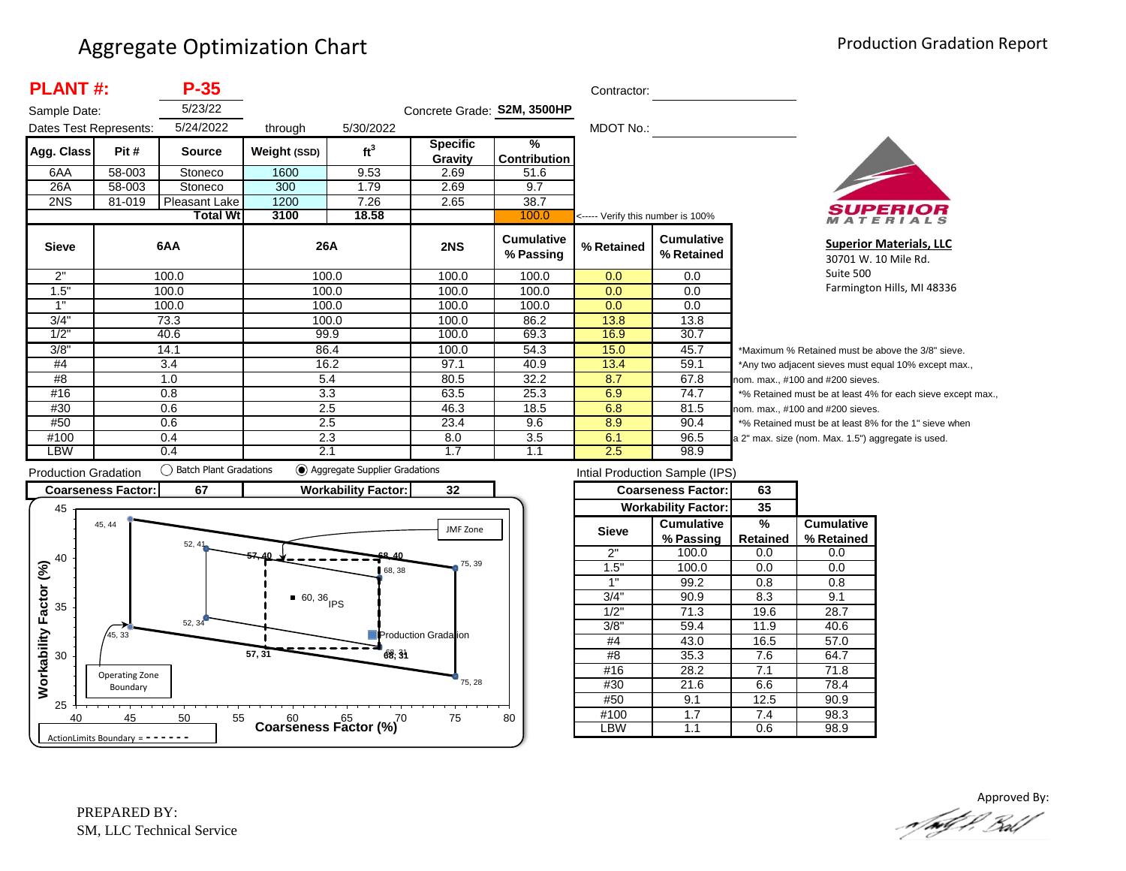| <b>PLANT#:</b><br>$P-35$ |        |                 |              |                 |                             | Contractor:                    |                                   |                                 |         |
|--------------------------|--------|-----------------|--------------|-----------------|-----------------------------|--------------------------------|-----------------------------------|---------------------------------|---------|
| Sample Date:             |        | 5/23/22         |              |                 | Concrete Grade: S2M, 3500HP |                                |                                   |                                 |         |
| Dates Test Represents:   |        | 5/24/2022       | through      | 5/30/2022       |                             |                                | MDOT No.:                         |                                 |         |
| Agg. Class               | Pit #  | <b>Source</b>   | Weight (SSD) | ft <sup>3</sup> | <b>Specific</b>             | $\frac{9}{6}$                  |                                   |                                 |         |
|                          |        |                 |              |                 | Gravity                     | <b>Contribution</b>            |                                   |                                 |         |
| 6AA                      | 58-003 | Stoneco         | 1600         | 9.53            | 2.69                        | 51.6                           |                                   |                                 |         |
| 26A                      | 58-003 | Stoneco         | 300          | 1.79            | 2.69                        | 9.7                            |                                   |                                 |         |
| 2NS                      | 81-019 | Pleasant Lake   | 1200         | 7.26            | 2.65                        | 38.7                           |                                   |                                 |         |
|                          |        | <b>Total Wt</b> | 3100         | 18.58           |                             | 100.0                          | <----- Verify this number is 100% |                                 |         |
| <b>Sieve</b>             |        | 6AA             | 26A          |                 | 2NS                         | <b>Cumulative</b><br>% Passing | % Retained                        | <b>Cumulative</b><br>% Retained |         |
| 2"                       |        | 100.0           |              | 100.0           | 100.0                       | 100.0                          | 0.0                               | 0.0                             |         |
| 1.5"                     |        | 100.0           |              | 100.0           | 100.0                       | 100.0                          | 0.0                               | 0.0                             |         |
| 1"                       |        | 100.0           |              | 100.0           | 100.0                       | 100.0                          | 0.0                               | 0.0                             |         |
| 3/4"                     |        | 73.3            |              | 100.0           | 100.0                       | 86.2                           | 13.8                              | 13.8                            |         |
| 1/2"                     |        | 40.6            | 99.9         |                 | 100.0                       | 69.3                           | 16.9                              | 30.7                            |         |
| 3/8"                     |        | 14.1            | 86.4         |                 | 100.0                       | 54.3                           | 15.0                              | 45.7                            | $*_{N}$ |
| #4                       |        | 3.4             |              | 16.2            | 97.1                        | 40.9                           | 13.4                              | 59.1                            | *A      |
| #8                       |        | 5.4<br>1.0      |              |                 | 80.5                        | 32.2                           | 8.7                               | 67.8                            | non     |
| #16                      |        | 0.8             |              | 3.3             | 63.5                        | 25.3                           | 6.9                               | 74.7                            | $*$ %   |
| #30                      |        | 0.6             | 2.5          |                 | 46.3                        | 18.5                           | 6.8                               | 81.5                            | non     |
| #50                      |        | 0.6             |              | 2.5             | 23.4                        | 9.6                            | 8.9                               | 90.4                            | $*$ %   |
| #100                     |        | 0.4             |              | 2.3             | 8.0                         | 3.5                            | 6.1                               | 96.5                            | a 2'    |
| LBW                      |        | 0.4             | 2.1          |                 | 1.7                         | 1.1                            | 2.5                               | 98.9                            |         |



**Superior Materials, LLC** 30701 W. 10 Mile Rd. Suite 500 Farmington Hills, MI 48336

laximum % Retained must be above the 3/8" sieve. ny two adjacent sieves must equal 10% except max., m. max., #100 and #200 sieves. 6 Retained must be at least 4% for each sieve except max., m. max., #100 and #200 sieves. 6 Retained must be at least 8% for the 1" sieve when max. size (nom. Max. 1.5") aggregate is used.



| Intial Production Sample (IPS) |                            |          |                   |  |  |  |  |  |
|--------------------------------|----------------------------|----------|-------------------|--|--|--|--|--|
|                                | <b>Coarseness Factor:</b>  | 63       |                   |  |  |  |  |  |
|                                | <b>Workability Factor:</b> | 35       |                   |  |  |  |  |  |
| <b>Sieve</b>                   | Cumulative                 | ℅        | <b>Cumulative</b> |  |  |  |  |  |
|                                | % Passing                  | Retained | % Retained        |  |  |  |  |  |
| 2"                             | 100.0                      | 0.0      | 0.0               |  |  |  |  |  |
| 1.5"                           | 100.0                      | 0.0      | 0.0               |  |  |  |  |  |
| 1"                             | 99.2                       | 0.8      | 0.8               |  |  |  |  |  |
| 3/4"                           | 90.9                       | 8.3      | 9.1               |  |  |  |  |  |
| 1/2"                           | 71.3                       | 19.6     | 28.7              |  |  |  |  |  |
| $3/8$ <sup>"</sup>             | 59.4                       | 11.9     | 40.6              |  |  |  |  |  |
| #4                             | 43.0                       | 16.5     | 57.0              |  |  |  |  |  |
| #8                             | 35.3                       | 7.6      | 64.7              |  |  |  |  |  |
| #16                            | 28.2                       | 7.1      | 71.8              |  |  |  |  |  |
| #30                            | 21.6                       | 6.6      | 78.4              |  |  |  |  |  |
| #50                            | 9.1                        |          | 90.9              |  |  |  |  |  |
| #100                           | 1.7                        |          | 98.3              |  |  |  |  |  |
| .BW                            | 1.1                        | 0.6      | 98.9              |  |  |  |  |  |

Approved By:<br>Approved By: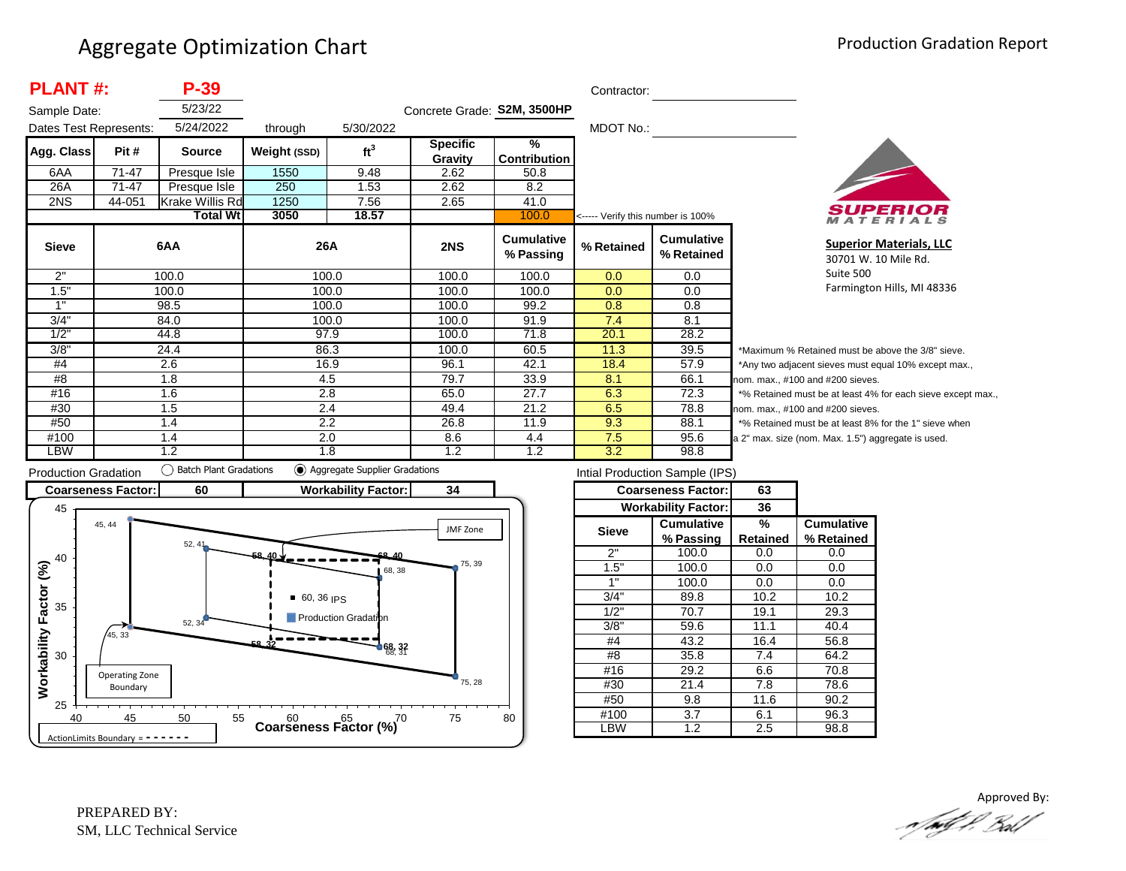| <b>PLANT#:</b><br>P-39 |           |                 |              |                 |                             | Contractor:                    |                                   |                                 |        |
|------------------------|-----------|-----------------|--------------|-----------------|-----------------------------|--------------------------------|-----------------------------------|---------------------------------|--------|
| Sample Date:           |           | 5/23/22         |              |                 | Concrete Grade: S2M, 3500HP |                                |                                   |                                 |        |
| Dates Test Represents: |           | 5/24/2022       | through      | 5/30/2022       |                             |                                | MDOT No.:                         |                                 |        |
| Agg. Class             | Pit#      | <b>Source</b>   | Weight (SSD) | ft <sup>3</sup> | <b>Specific</b><br>Gravity  | %<br><b>Contribution</b>       |                                   |                                 |        |
| 6AA                    | $71 - 47$ | Presque Isle    | 1550         | 9.48            | 2.62                        | 50.8                           |                                   |                                 |        |
| 26A                    | $71 - 47$ | Presque Isle    | 250          | 1.53            | 2.62                        | 8.2                            |                                   |                                 |        |
| 2NS                    | 44-051    | Krake Willis Rd | 1250         | 7.56            | 2.65                        | 41.0                           |                                   |                                 |        |
|                        |           | Total Wtl       | 3050         | 18.57           |                             | 100.0                          | <----- Verify this number is 100% |                                 |        |
| <b>Sieve</b>           |           | 6AA             | 26A          |                 | 2NS                         | <b>Cumulative</b><br>% Passing | % Retained                        | <b>Cumulative</b><br>% Retained |        |
| 2"                     |           | 100.0           | 100.0        |                 | 100.0                       | 100.0                          | 0.0                               | 0.0                             |        |
| 1.5"                   |           | 100.0           | 100.0        |                 | 100.0                       | 100.0                          | 0.0                               | 0.0                             |        |
| 1"                     |           | 98.5            | 100.0        |                 | 100.0                       | 99.2                           | 0.8                               | 0.8                             |        |
| 3/4"                   |           | 84.0            | 100.0        |                 | 100.0                       | 91.9                           | 7.4                               | 8.1                             |        |
| 1/2"                   |           | 44.8            | 97.9         |                 | 100.0                       | 71.8                           | 20.1                              | 28.2                            |        |
| 3/8"                   |           | 24.4            | 86.3         |                 | 100.0                       | 60.5                           | 11.3                              | 39.5                            | $*M$   |
| #4                     |           | 2.6             | 16.9         |                 | 96.1                        | 42.1                           | 18.4                              | 57.9                            | *Ar    |
| #8                     |           | 1.8             | 4.5          |                 | 79.7                        | 33.9                           | 8.1                               | 66.1                            | nom    |
| #16                    |           | 1.6             | 2.8          |                 | 65.0                        | 27.7                           | 6.3                               | 72.3                            | $*9/6$ |
| #30                    |           | 1.5             | 2.4          |                 | 49.4                        | 21.2                           | 6.5                               | 78.8                            | nom    |
| #50                    |           | 1.4             | 2.2          |                 | 26.8                        | 11.9                           | 9.3                               | 88.1                            | $*$ %  |
| #100                   |           | 1.4             | 2.0          |                 | 8.6                         | 4.4                            | 7.5                               | 95.6                            | a 2"   |
| LBW                    |           | 1.2             | 1.8          |                 | 1.2                         | 1.2                            | 3.2                               | 98.8                            |        |



**Superior Materials, LLC** 30701 W. 10 Mile Rd. Suite 500 Farmington Hills, MI 48336

aximum % Retained must be above the 3/8" sieve. ny two adjacent sieves must equal 10% except max., . max.,  $#100$  and  $#200$  sieves. Retained must be at least 4% for each sieve except max., . max., #100 and #200 sieves. Retained must be at least 8% for the 1" sieve when max. size (nom. Max. 1.5") aggregate is used.



| Intial Production Sample (IPS) |                            |                 |                   |  |  |  |  |  |
|--------------------------------|----------------------------|-----------------|-------------------|--|--|--|--|--|
|                                | <b>Coarseness Factor:</b>  | 63              |                   |  |  |  |  |  |
|                                | <b>Workability Factor:</b> | 36              |                   |  |  |  |  |  |
| <b>Sieve</b>                   | <b>Cumulative</b>          | %               | <b>Cumulative</b> |  |  |  |  |  |
|                                | % Passing                  | <b>Retained</b> | % Retained        |  |  |  |  |  |
| 2"                             | 100.0                      | 0.0             | 0.0               |  |  |  |  |  |
| 1.5"                           | 100.0                      | 0.0             | 0.0               |  |  |  |  |  |
| 1"                             | 100.0                      | 0.0             | 0.0               |  |  |  |  |  |
| 3/4"                           | 89.8                       | 10.2            | 10.2              |  |  |  |  |  |
| 1/2"                           | 70.7                       | 19.1            | 29.3              |  |  |  |  |  |
| 3/8"                           | 59.6                       | 11.1            | 40.4              |  |  |  |  |  |
| #4                             | 43.2                       | 16.4            | 56.8              |  |  |  |  |  |
| #8                             | 35.8                       | 7.4             | 64.2              |  |  |  |  |  |
| #16                            | 29.2                       | 6.6             | 70.8              |  |  |  |  |  |
| #30                            | 21.4                       | 7.8             | 78.6              |  |  |  |  |  |
| #50                            | 9.8                        |                 | 90.2              |  |  |  |  |  |
| #100                           | 3.7                        |                 | 96.3              |  |  |  |  |  |
| _BW                            | 1.2                        | 2.5             | 98.8              |  |  |  |  |  |

Approved By:<br>Approved By: